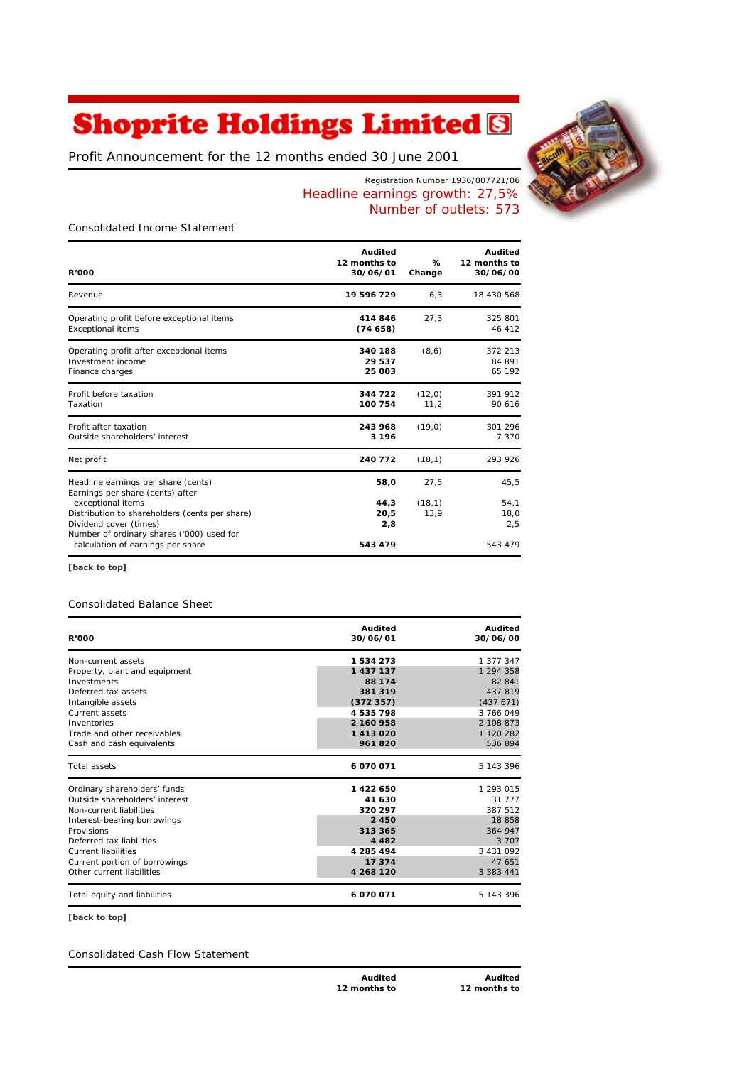# **Shoprite Holdings Limited &**

*Profit Announcement for the 12 months ended 30 June 2001*



Registration Number 1936/007721/06 Headline earnings growth: 27,5% Number of outlets: 573

*Consolidated Income Statement*

| <b>R'000</b>                                                                                                                                   | Audited<br>12 months to<br>30/06/01 | %<br>Change            | Audited<br>12 months to<br>30/06/00 |
|------------------------------------------------------------------------------------------------------------------------------------------------|-------------------------------------|------------------------|-------------------------------------|
| Revenue                                                                                                                                        | 19 596 729                          | 6, 3                   | 18 430 568                          |
| Operating profit before exceptional items<br><b>Exceptional items</b>                                                                          | 414846<br>(74658)                   | 27,3                   | 325 801<br>46 412                   |
| Operating profit after exceptional items<br>Investment income<br>Finance charges                                                               | 340 188<br>29 537<br>25 003         | (8, 6)                 | 372 213<br>84 891<br>65 192         |
| Profit before taxation<br>Taxation                                                                                                             | 344 722<br>100 754                  | (12,0)<br>11.2         | 391 912<br>90 616                   |
| Profit after taxation<br>Outside shareholders' interest                                                                                        | 243 968<br>3 1 9 6                  | (19, 0)                | 301 296<br>7 3 7 0                  |
| Net profit                                                                                                                                     | 240 772                             | (18,1)                 | 293 926                             |
| Headline earnings per share (cents)<br>Earnings per share (cents) after<br>exceptional items<br>Distribution to shareholders (cents per share) | 58,0<br>44.3<br>20,5                | 27,5<br>(18,1)<br>13,9 | 45,5<br>54,1<br>18,0                |
| Dividend cover (times)<br>Number of ordinary shares ('000) used for<br>calculation of earnings per share                                       | 2,8<br>543 479                      |                        | 2,5<br>543 479                      |

**[back to top]**

# *Consolidated Balance Sheet*

| <b>R'000</b>                   | Audited<br>30/06/01 | Audited<br>30/06/00 |
|--------------------------------|---------------------|---------------------|
| Non-current assets             | 1534273             | 1 377 347           |
| Property, plant and equipment  | 1 437 137           | 1 294 358           |
| Investments                    | 88 174              | 82 841              |
| Deferred tax assets            | 381 319             | 437 819             |
| Intangible assets              | (372357)            | (437671)            |
| Current assets                 | 4535798             | 3 766 049           |
| Inventories                    | 2 160 958           | 2 108 873           |
| Trade and other receivables    | 1413020             | 1 120 282           |
| Cash and cash equivalents      | 961820              | 536 894             |
| Total assets                   | 6070071             | 5 143 396           |
| Ordinary shareholders' funds   | 1422650             | 1 293 015           |
| Outside shareholders' interest | 41 630              | 31 777              |
| Non-current liabilities        | 320 297             | 387 512             |
| Interest-bearing borrowings    | 2 4 5 0             | 18858               |
| Provisions                     | 313 365             | 364 947             |
| Deferred tax liabilities       | 4 4 8 2             | 3 7 0 7             |
| <b>Current liabilities</b>     | 4 285 494           | 3 4 3 1 0 9 2       |
| Current portion of borrowings  | 17 374              | 47 651              |
| Other current liabilities      | 4 268 120           | 3 3 8 3 4 4 1       |
| Total equity and liabilities   | 6070071             | 5 143 396           |

**[back to top]**

*Consolidated Cash Flow Statement*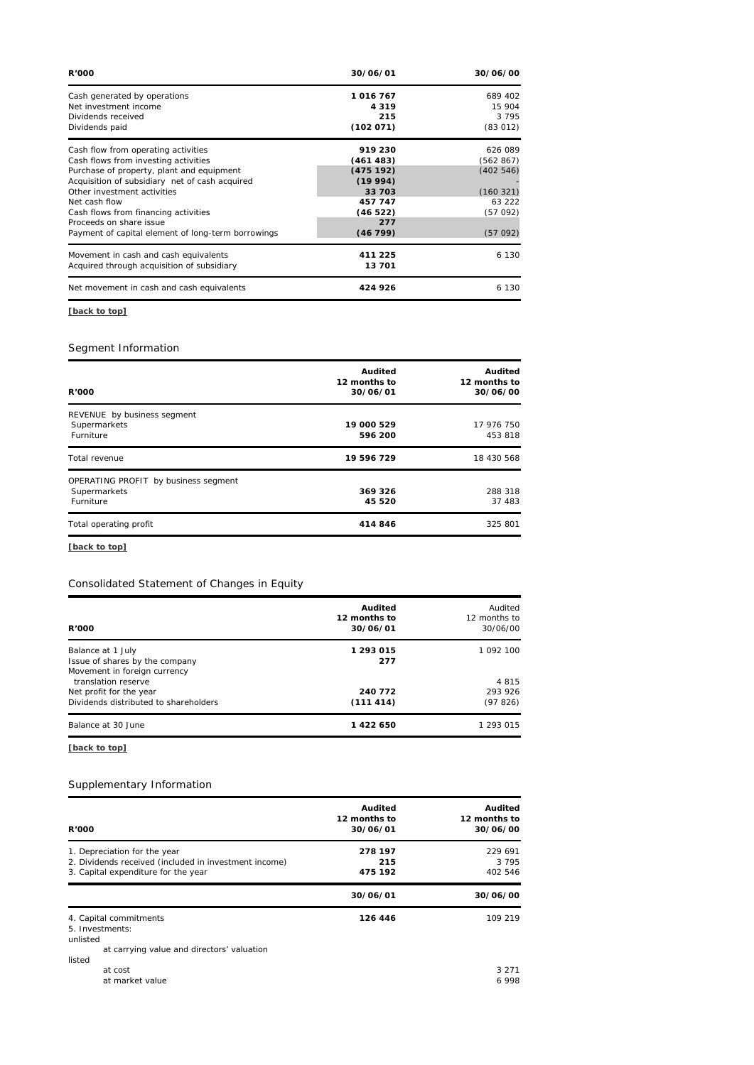| 30/06/01 | 30/06/00  |
|----------|-----------|
| 1016 767 | 689 402   |
| 4 3 1 9  | 15 904    |
| 215      | 3795      |
|          | (83012)   |
| 919 230  | 626 089   |
| (461483) | (562867)  |
| (475192) | (402546)  |
| (19994)  |           |
| 33 703   | (160321)  |
| 457 747  | 63 222    |
| (46522)  | (57092)   |
| 277      |           |
| (46799)  | (57092)   |
| 411 225  | 6 1 3 0   |
| 13 701   |           |
| 424 926  | 6 130     |
|          | (102 071) |

# **[back to top]**

# *Segment Information*

| <b>R'000</b>                                                      | Audited<br>12 months to<br>30/06/01 | Audited<br>12 months to<br>30/06/00 |
|-------------------------------------------------------------------|-------------------------------------|-------------------------------------|
| REVENUE by business segment<br>Supermarkets<br>Furniture          | 19 000 529<br>596 200               | 17 976 750<br>453 818               |
| Total revenue                                                     | 19 596 729                          | 18 430 568                          |
| OPERATING PROFIT by business segment<br>Supermarkets<br>Furniture | 369 326<br>45 520                   | 288 318<br>37 483                   |
| Total operating profit                                            | 414846                              | 325 801                             |

**[back to top]**

#### *Consolidated Statement of Changes in Equity*

| Audited<br>12 months to<br>30/06/01 | Audited<br>12 months to<br>30/06/00 |
|-------------------------------------|-------------------------------------|
| 1 293 015<br>277                    | 1 092 100                           |
|                                     | 4815                                |
| 240 772                             | 293 926                             |
| (111414)                            | (97826)                             |
| 1422650                             | 1 293 015                           |
|                                     |                                     |

**[back to top]**

## *Supplementary Information*

| <b>R'000</b>                                                                                                                 | Audited<br>12 months to<br>30/06/01 | Audited<br>12 months to<br>30/06/00 |
|------------------------------------------------------------------------------------------------------------------------------|-------------------------------------|-------------------------------------|
| 1. Depreciation for the year<br>2. Dividends received (included in investment income)<br>3. Capital expenditure for the year | 278 197<br>215<br>475 192           | 229 691<br>3 7 9 5<br>402 546       |
|                                                                                                                              | 30/06/01                            | 30/06/00                            |
| 4. Capital commitments<br>5. Investments:<br>unlisted<br>at carrying value and directors' valuation                          | 126 446                             | 109 219                             |
| listed<br>at cost<br>at market value                                                                                         |                                     | 3 2 7 1<br>6998                     |